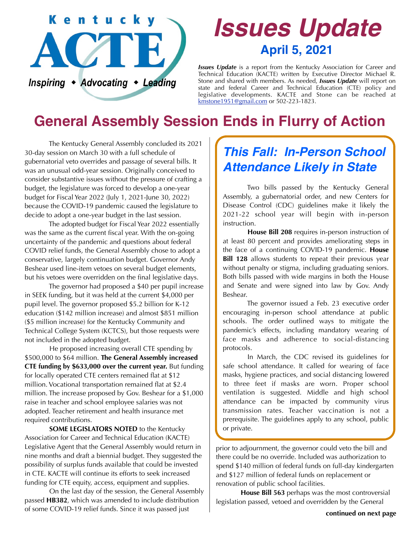

# *Issues Update* **April 5, 2021**

*Issues Update* is a report from the Kentucky Association for Career and Technical Education (KACTE) written by Executive Director Michael R. Stone and shared with members. As needed, *Issues Update* will report on state and federal Career and Technical Education (CTE) policy and legislative developments. KACTE and Stone can be reached at [kmstone1951@gmail.com](mailto:kmstone1951@gmail.com) or 502-223-1823.

# **General Assembly Session Ends in Flurry of Action**

 The Kentucky General Assembly concluded its 2021 30-day session on March 30 with a full schedule of gubernatorial veto overrides and passage of several bills. It was an unusual odd-year session. Originally conceived to consider substantive issues without the pressure of crafting a budget, the legislature was forced to develop a one-year budget for Fiscal Year 2022 (July 1, 2021-June 30, 2022) because the COVID-19 pandemic caused the legislature to decide to adopt a one-year budget in the last session.

 The adopted budget for Fiscal Year 2022 essentially was the same as the current fiscal year. With the on-going uncertainty of the pandemic and questions about federal COVID relief funds, the General Assembly chose to adopt a conservative, largely continuation budget. Governor Andy Beshear used line-item vetoes on several budget elements, but his vetoes were overridden on the final legislative days.

 The governor had proposed a \$40 per pupil increase in SEEK funding, but it was held at the current \$4,000 per pupil level. The governor proposed \$5.2 billion for K-12 education (\$142 million increase) and almost \$851 million (\$5 million increase) for the Kentucky Community and Technical College System (KCTCS), but those requests were not included in the adopted budget.

 He proposed increasing overall CTE spending by \$500,000 to \$64 million. **The General Assembly increased CTE funding by \$633,000 over the current year.** But funding for locally operated CTE centers remained flat at \$12 million. Vocational transportation remained flat at \$2.4 million. The increase proposed by Gov. Beshear for a \$1,000 raise in teacher and school employee salaries was not adopted. Teacher retirement and health insurance met required contributions.

**SOME LEGISLATORS NOTED** to the Kentucky Association for Career and Technical Education (KACTE) Legislative Agent that the General Assembly would return in nine months and draft a biennial budget. They suggested the possibility of surplus funds available that could be invested in CTE. KACTE will continue its efforts to seek increased funding for CTE equity, access, equipment and supplies.

 On the last day of the session, the General Assembly passed **HB382**, which was amended to include distribution of some COVID-19 relief funds. Since it was passed just

### *This Fall: In-Person School Attendance Likely in State*

 Two bills passed by the Kentucky General Assembly, a gubernatorial order, and new Centers for Disease Control (CDC) guidelines make it likely the 2021-22 school year will begin with in-person instruction.

**House Bill 208** requires in-person instruction of at least 80 percent and provides ameliorating steps in the face of a continuing COVID-19 pandemic. **House Bill 128** allows students to repeat their previous year without penalty or stigma, including graduating seniors. Both bills passed with wide margins in both the House and Senate and were signed into law by Gov. Andy Beshear.

 The governor issued a Feb. 23 executive order encouraging in-person school attendance at public schools. The order outlined ways to mitigate the pandemic's effects, including mandatory wearing of face masks and adherence to social-distancing protocols.

 In March, the CDC revised its guidelines for safe school attendance. It called for wearing of face masks, hygiene practices, and social distancing lowered to three feet if masks are worn. Proper school ventilation is suggested. Middle and high school attendance can be impacted by community virus transmission rates. Teacher vaccination is not a prerequisite. The guidelines apply to any school, public or private.

prior to adjournment, the governor could veto the bill and there could be no override. Included was authorization to spend \$140 million of federal funds on full-day kindergarten and \$127 million of federal funds on replacement or renovation of public school facilities.

**House Bill 563** perhaps was the most controversial legislation passed, vetoed and overridden by the General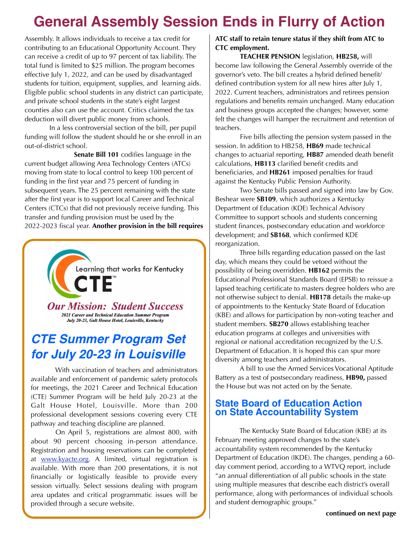## **General Assembly Session Ends in Flurry of Action**

Assembly. It allows individuals to receive a tax credit for contributing to an Educational Opportunity Account. They can receive a credit of up to 97 percent of tax liability. The total fund is limited to \$25 million. The program becomes effective July 1, 2022, and can be used by disadvantaged students for tuition, equipment, supplies, and learning aids. Eligible public school students in any district can participate, and private school students in the state's eight largest counties also can use the account. Critics claimed the tax deduction will divert public money from schools.

 In a less controversial section of the bill, per pupil funding will follow the student should he or she enroll in an out-of-district school.

 **Senate Bill 101** codifies language in the current budget allowing Area Technology Centers (ATCs) moving from state to local control to keep 100 percent of funding in the first year and 75 percent of funding in subsequent years. The 25 percent remaining with the state after the first year is to support local Career and Technical Centers (CTCs) that did not previously receive funding. This transfer and funding provision must be used by the 2022-2023 fiscal year. **Another provision in the bill requires** 



### *CTE Summer Program Set for July 20-23 in Louisville*

 With vaccination of teachers and administrators available and enforcement of pandemic safety protocols for meetings, the 2021 Career and Technical Education (CTE) Summer Program will be held July 20-23 at the Galt House Hotel, Louisville. More than 200 professional development sessions covering every CTE pathway and teaching discipline are planned.

 On April 5, registrations are almost 800, with about 90 percent choosing in-person attendance. Registration and housing reservations can be completed at www.kyacte.org. A limited, virtual registration is available. With more than 200 presentations, it is not financially or logistically feasible to provide every session virtually. Select sessions dealing with program area updates and critical programmatic issues will be provided through a secure website.

#### **ATC staff to retain tenure status if they shift from ATC to CTC employment.**

**TEACHER PENSION** legislation, **HB258,** will become law following the General Assembly override of the governor's veto. The bill creates a hybrid defined benefit/ defined contribution system for all new hires after July 1, 2022. Current teachers, administrators and retirees pension regulations and benefits remain unchanged. Many education and business groups accepted the changes; however, some felt the changes will hamper the recruitment and retention of teachers.

 Five bills affecting the pension system passed in the session. In addition to HB258, **HB69** made technical changes to actuarial reporting, **HB87** amended death benefit calculations, **HB113** clarified benefit credits and beneficiaries, and **HB261** imposed penalties for fraud against the Kentucky Public Pension Authority.

 Two Senate bills passed and signed into law by Gov. Beshear were **SB109**, which authorizes a Kentucky Department of Education (KDE) Technical Advisory Committee to support schools and students concerning student finances, postsecondary education and workforce development; and **SB168**, which confirmed KDE reorganization.

 Three bills regarding education passed on the last day, which means they could be vetoed without the possibility of being overridden. **HB162** permits the Educational Professional Standards Board (EPSB) to reissue a lapsed teaching certificate to masters degree holders who are not otherwise subject to denial. **HB178** details the make-up of appointments to the Kentucky State Board of Education (KBE) and allows for participation by non-voting teacher and student members. **SB270** allows establishing teacher education programs at colleges and universities with regional or national accreditation recognized by the U.S. Department of Education. It is hoped this can spur more diversity among teachers and administrators.

 A bill to use the Armed Services Vocational Aptitude Battery as a test of postsecondary readiness, **HB90,** passed the House but was not acted on by the Senate.

#### **State Board of Education Action on State Accountability System**

 The Kentucky State Board of Education (KBE) at its February meeting approved changes to the state's accountability system recommended by the Kentucky Department of Education (IKDE). The changes, pending a 60 day comment period, according to a WTVQ report, include "an annual differentiation of all public schools in the state using multiple measures that describe each district's overall performance, along with performances of individual schools and student demographic groups."